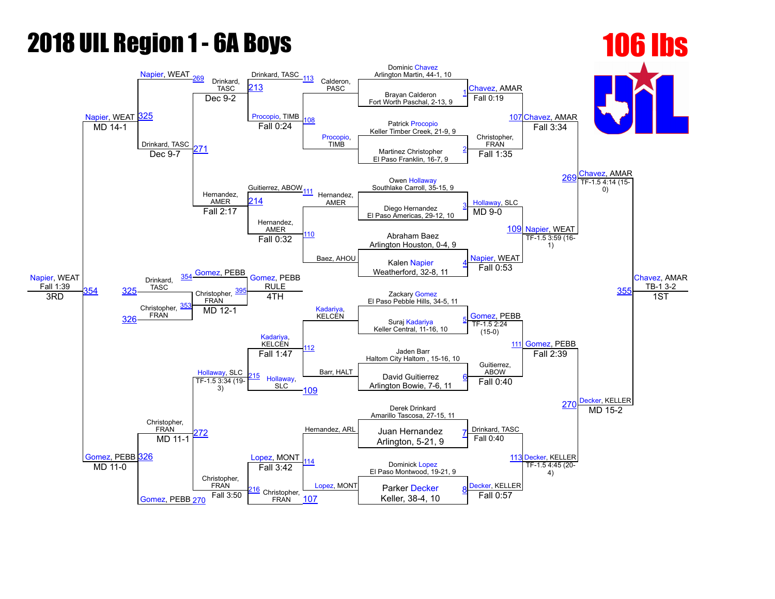## 2018 UIL Region 1 6A Boys 106 lbs

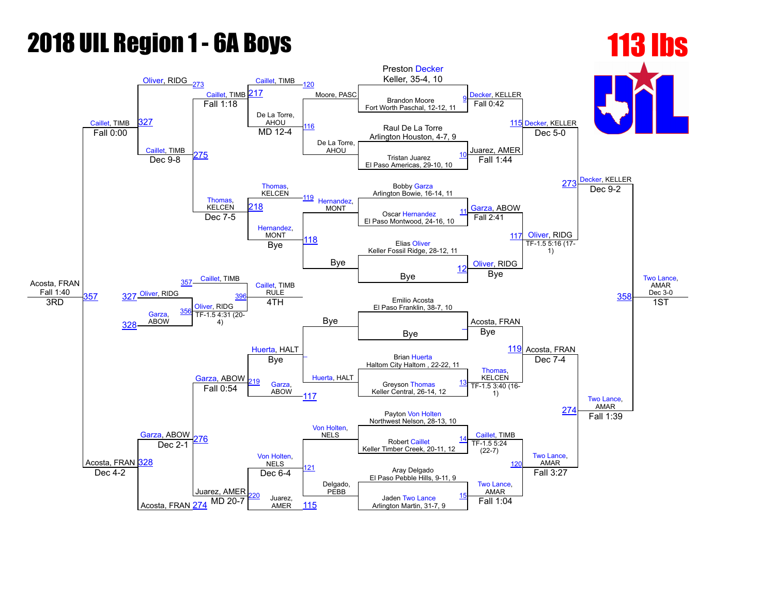## **2018 UIL Region 1 - 6A Boys 113 lbs**

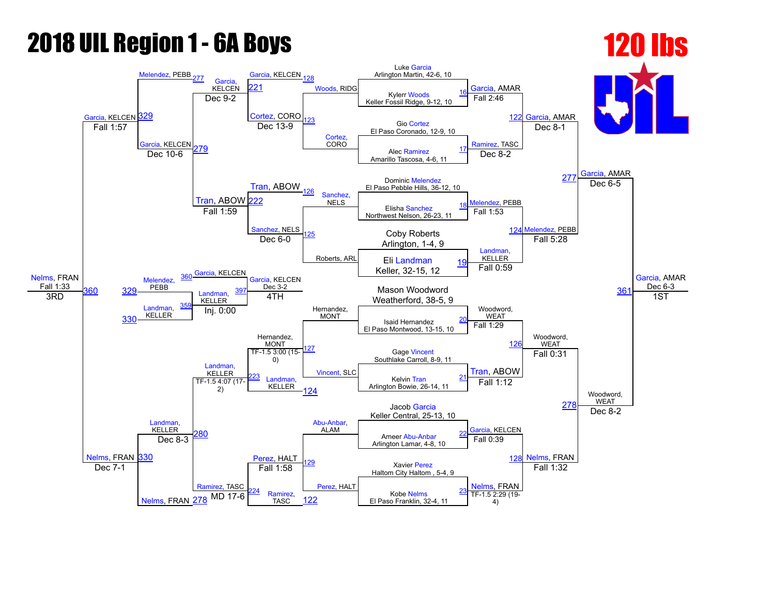## **2018 UIL Region 1 - 6A Boys 120 lbs**

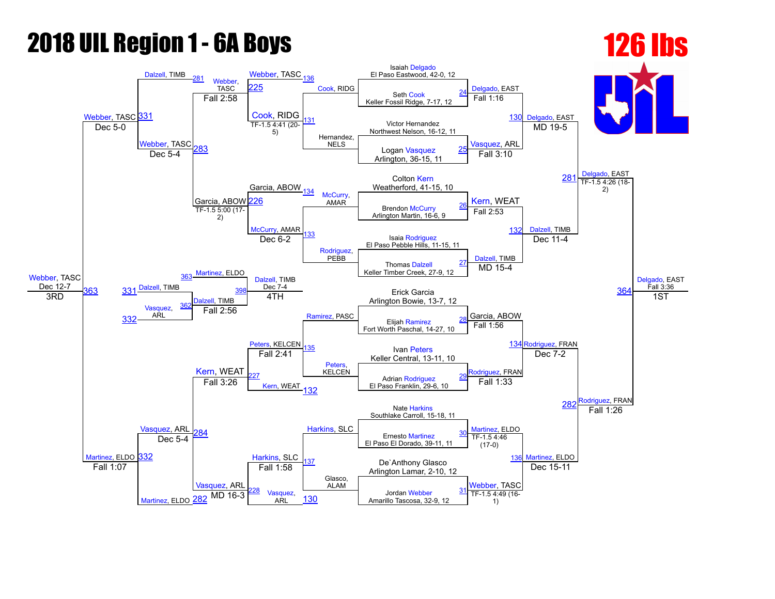## **2018 UIL Region 1 - 6A Boys 126 lbs**

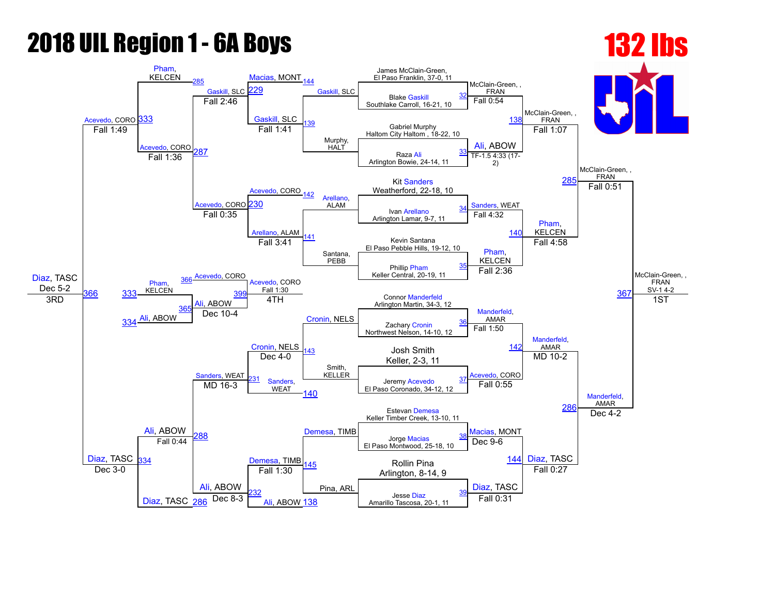#### **2018 UIL Region 1 - 6A Boys 132 lbs**

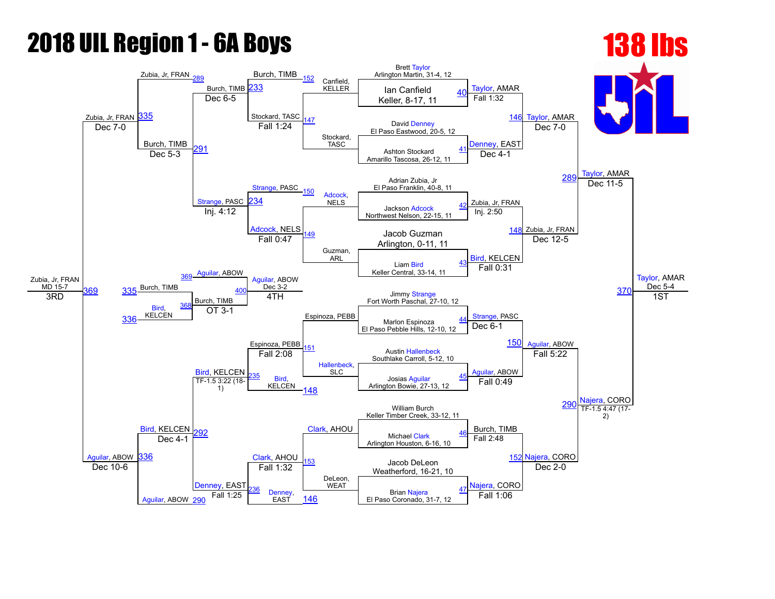# **2018 UIL Region 1 - 6A Boys 138 lbs**

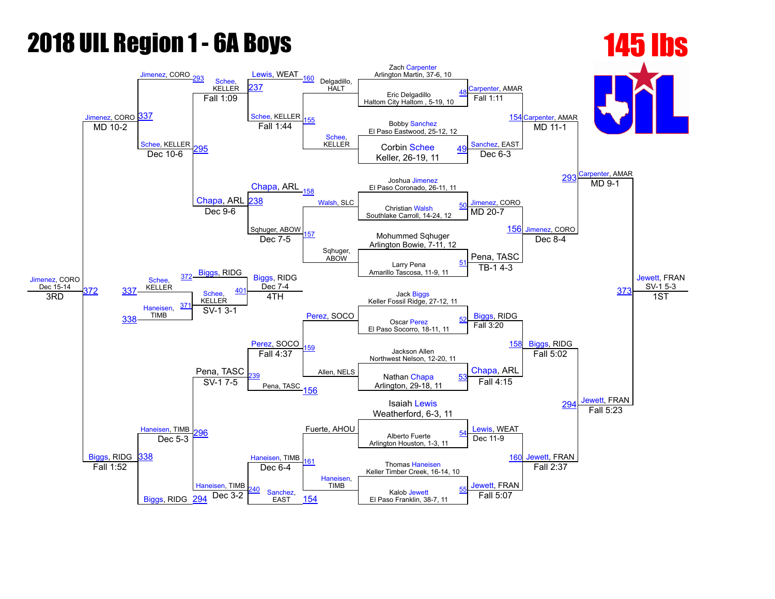## **2018 UIL Region 1 - 6A Boys 145 lbs**

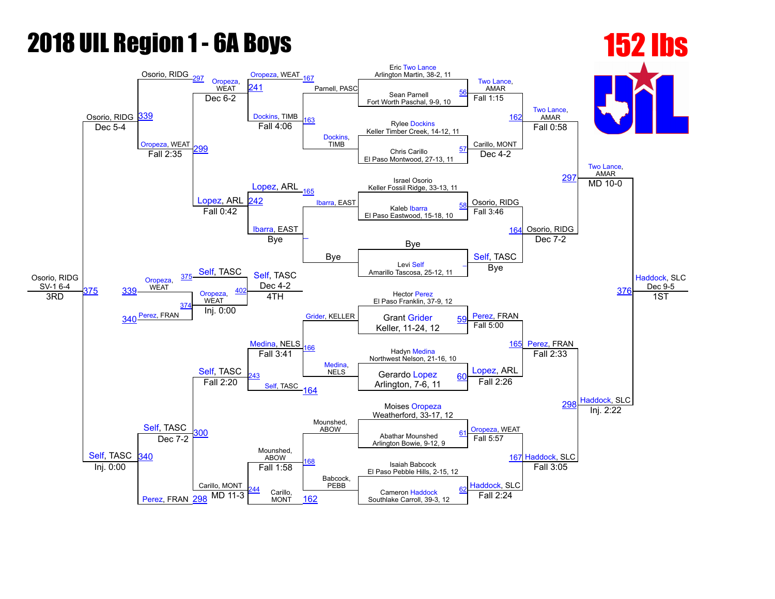## **2018 UIL Region 1 - 6A Boys 152 lbs**

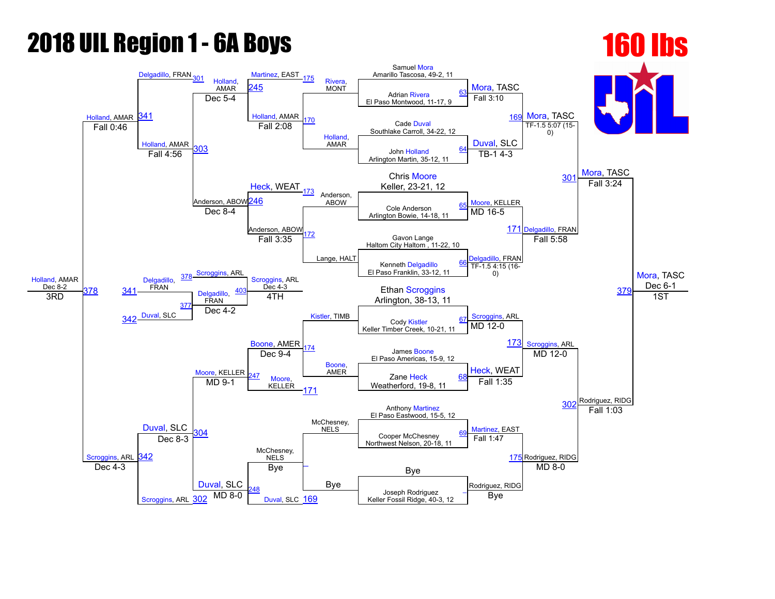## **2018 UIL Region 1 - 6A Boys 160 lbs**

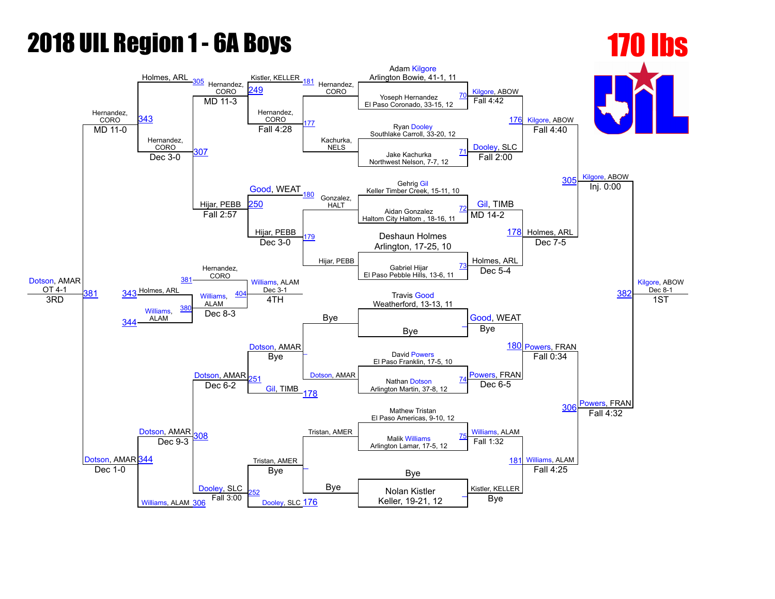## **2018 UIL Region 1 - 6A Boys 170 lbs**

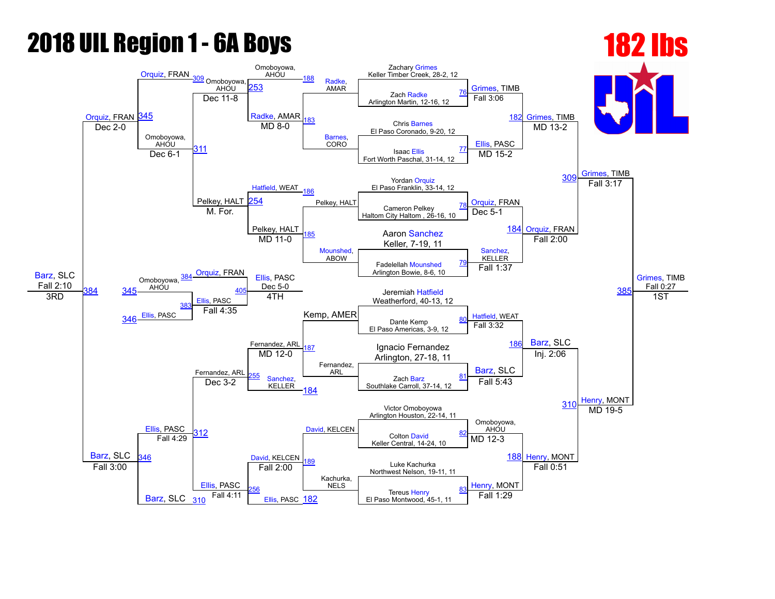### **2018 UIL Region 1 - 6A Boys 182 lbs**

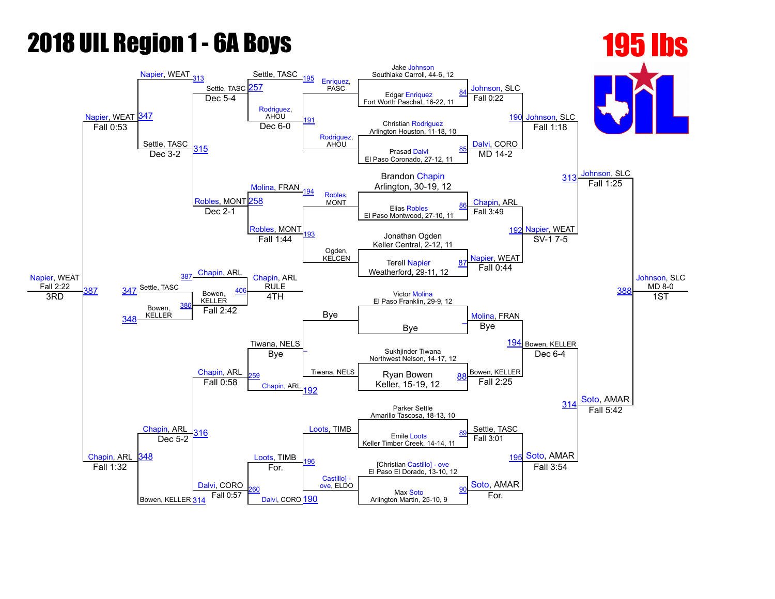## **2018 UIL Region 1 - 6A Boys 195 195 lbs**

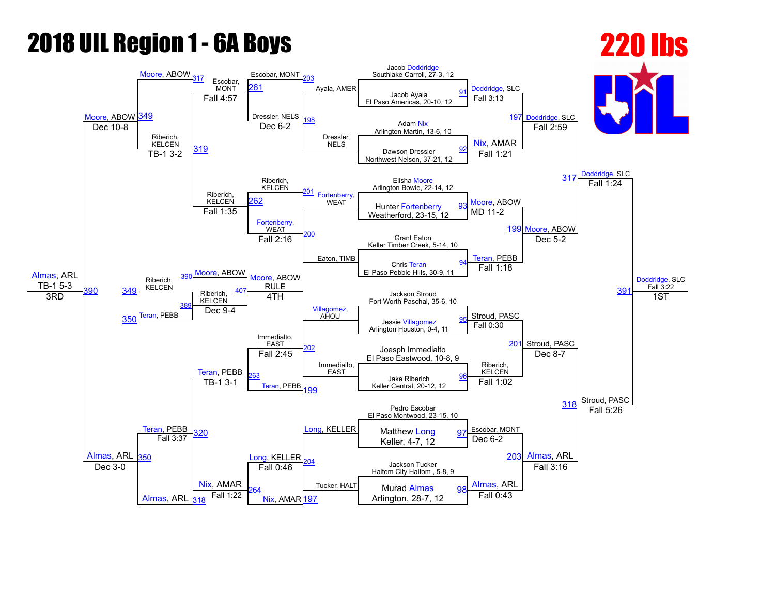## 2018 UIL Region 1 - 6A Boys 2018 220 lbs